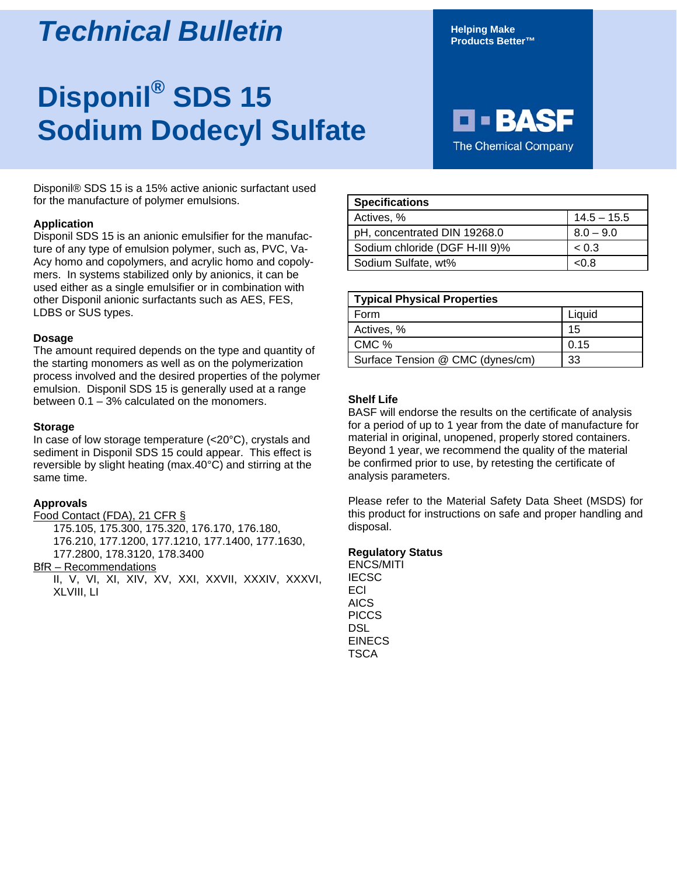## *Technical Bulletin*

# **Disponil® SDS 15 Sodium Dodecyl Sulfate**

Disponil® SDS 15 is a 15% active anionic surfactant used for the manufacture of polymer emulsions.

#### **Application**

Disponil SDS 15 is an anionic emulsifier for the manufacture of any type of emulsion polymer, such as, PVC, Va-Acy homo and copolymers, and acrylic homo and copolymers. In systems stabilized only by anionics, it can be used either as a single emulsifier or in combination with other Disponil anionic surfactants such as AES, FES, LDBS or SUS types.

#### **Dosage**

The amount required depends on the type and quantity of the starting monomers as well as on the polymerization process involved and the desired properties of the polymer emulsion. Disponil SDS 15 is generally used at a range between 0.1 – 3% calculated on the monomers.

#### **Storage**

In case of low storage temperature (<20°C), crystals and sediment in Disponil SDS 15 could appear. This effect is reversible by slight heating (max.40°C) and stirring at the same time.

#### **Approvals**

Food Contact (FDA), 21 CFR §

175.105, 175.300, 175.320, 176.170, 176.180, 176.210, 177.1200, 177.1210, 177.1400, 177.1630, 177.2800, 178.3120, 178.3400

#### **BfR** – Recommendations

II, V, VI, XI, XIV, XV, XXI, XXVII, XXXIV, XXXVI, XLVIII, LI

**Helping Make Products Better™**

### E E BA **The Chemical Company**

| <b>Specifications</b>          |               |
|--------------------------------|---------------|
| Actives, %                     | $14.5 - 15.5$ |
| pH, concentrated DIN 19268.0   | $8.0 - 9.0$   |
| Sodium chloride (DGF H-III 9)% | ~< 0.3        |
| Sodium Sulfate, wt%            | <በ ጸ          |

| <b>Typical Physical Properties</b> |        |
|------------------------------------|--------|
| Form                               | Liauid |
| Actives, %                         | 15     |
| CMC %                              | 0.15   |
| Surface Tension @ CMC (dynes/cm)   | 33     |

#### **Shelf Life**

BASF will endorse the results on the certificate of analysis for a period of up to 1 year from the date of manufacture for material in original, unopened, properly stored containers. Beyond 1 year, we recommend the quality of the material be confirmed prior to use, by retesting the certificate of analysis parameters.

Please refer to the Material Safety Data Sheet (MSDS) for this product for instructions on safe and proper handling and disposal.

#### **Regulatory Status**

ENCS/MITI **IECSC** ECl AICS **PICCS** DSL EINECS TSCA